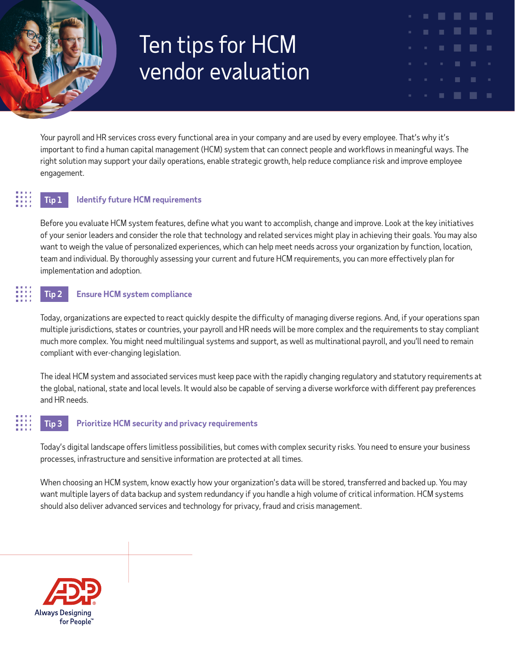# Ten tips for HCM vendor evaluation

Your payroll and HR services cross every functional area in your company and are used by every employee. That's why it's important to find a human capital management (HCM) system that can connect people and workflows in meaningful ways. The right solution may support your daily operations, enable strategic growth, help reduce compliance risk and improve employee engagement.

ш

# **Tip 1 Identify future HCM requirements**

Before you evaluate HCM system features, define what you want to accomplish, change and improve. Look at the key initiatives of your senior leaders and consider the role that technology and related services might play in achieving their goals. You may also want to weigh the value of personalized experiences, which can help meet needs across your organization by function, location, team and individual. By thoroughly assessing your current and future HCM requirements, you can more effectively plan for implementation and adoption.

# **Tip 2 Ensure HCM system compliance**

Today, organizations are expected to react quickly despite the difficulty of managing diverse regions. And, if your operations span multiple jurisdictions, states or countries, your payroll and HR needs will be more complex and the requirements to stay compliant much more complex. You might need multilingual systems and support, as well as multinational payroll, and you'll need to remain compliant with ever-changing legislation.

The ideal HCM system and associated services must keep pace with the rapidly changing regulatory and statutory requirements at the global, national, state and local levels. It would also be capable of serving a diverse workforce with different pay preferences and HR needs.

# **Tip 3 Prioritize HCM security and privacy requirements**

Today's digital landscape offers limitless possibilities, but comes with complex security risks. You need to ensure your business processes, infrastructure and sensitive information are protected at all times.

When choosing an HCM system, know exactly how your organization's data will be stored, transferred and backed up. You may want multiple layers of data backup and system redundancy if you handle a high volume of critical information. HCM systems should also deliver advanced services and technology for privacy, fraud and crisis management.

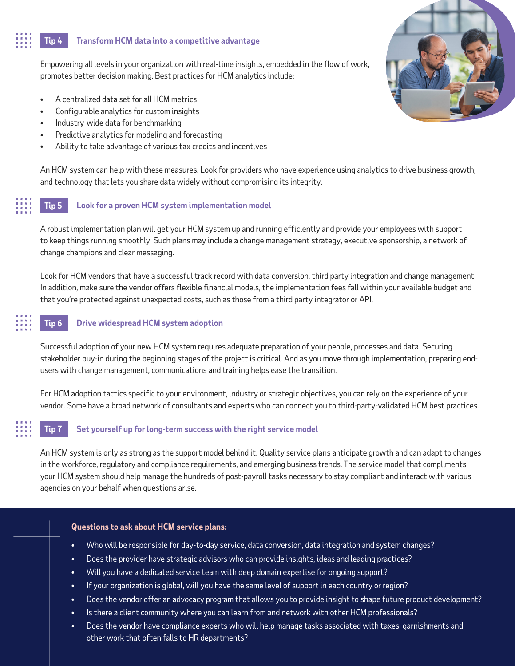# **Tip 4 Transform HCM data into a competitive advantage**

Empowering all levels in your organization with real-time insights, embedded in the flow of work, promotes better decision making. Best practices for HCM analytics include:

- A centralized data set for all HCM metrics
- Configurable analytics for custom insights
- Industry-wide data for benchmarking
- Predictive analytics for modeling and forecasting
- Ability to take advantage of various tax credits and incentives

An HCM system can help with these measures. Look for providers who have experience using analytics to drive business growth, and technology that lets you share data widely without compromising its integrity.

# **Tip 5 Look for a proven HCM system implementation model**

A robust implementation plan will get your HCM system up and running efficiently and provide your employees with support to keep things running smoothly. Such plans may include a change management strategy, executive sponsorship, a network of change champions and clear messaging.

Look for HCM vendors that have a successful track record with data conversion, third party integration and change management. In addition, make sure the vendor offers flexible financial models, the implementation fees fall within your available budget and that you're protected against unexpected costs, such as those from a third party integrator or API.

### **Tip 6 Drive widespread HCM system adoption**

Successful adoption of your new HCM system requires adequate preparation of your people, processes and data. Securing stakeholder buy-in during the beginning stages of the project is critical. And as you move through implementation, preparing endusers with change management, communications and training helps ease the transition.

For HCM adoption tactics specific to your environment, industry or strategic objectives, you can rely on the experience of your vendor. Some have a broad network of consultants and experts who can connect you to third-party-validated HCM best practices.

# **Tip 7 Set yourself up for long-term success with the right service model**

An HCM system is only as strong as the support model behind it. Quality service plans anticipate growth and can adapt to changes in the workforce, regulatory and compliance requirements, and emerging business trends. The service model that compliments your HCM system should help manage the hundreds of post-payroll tasks necessary to stay compliant and interact with various agencies on your behalf when questions arise.

#### **Questions to ask about HCM service plans:**

- Who will be responsible for day-to-day service, data conversion, data integration and system changes?
- Does the provider have strategic advisors who can provide insights, ideas and leading practices?
- Will you have a dedicated service team with deep domain expertise for ongoing support?
- If your organization is global, will you have the same level of support in each country or region?
- Does the vendor offer an advocacy program that allows you to provide insight to shape future product development?
- Is there a client community where you can learn from and network with other HCM professionals?
- Does the vendor have compliance experts who will help manage tasks associated with taxes, garnishments and other work that often falls to HR departments?